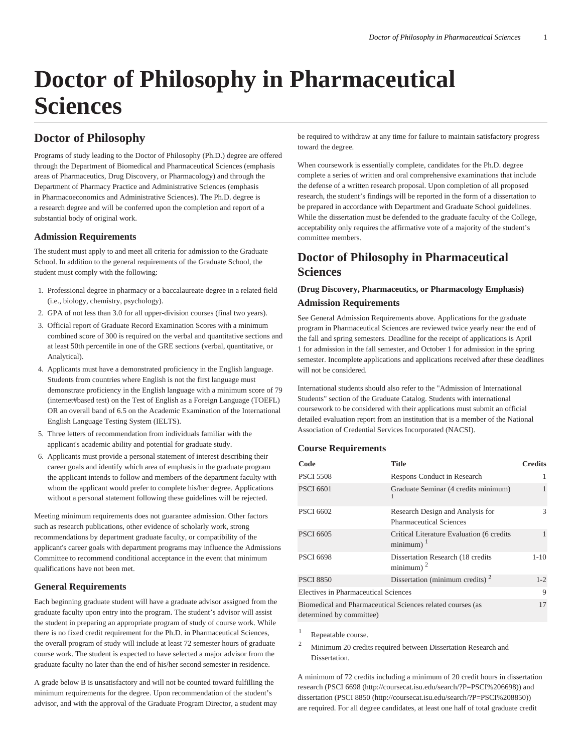# **Doctor of Philosophy in Pharmaceutical Sciences**

# **Doctor of Philosophy**

Programs of study leading to the Doctor of Philosophy (Ph.D.) degree are offered through the Department of Biomedical and Pharmaceutical Sciences (emphasis areas of Pharmaceutics, Drug Discovery, or Pharmacology) and through the Department of Pharmacy Practice and Administrative Sciences (emphasis in Pharmacoeconomics and Administrative Sciences). The Ph.D. degree is a research degree and will be conferred upon the completion and report of a substantial body of original work.

#### **Admission Requirements**

The student must apply to and meet all criteria for admission to the Graduate School. In addition to the general requirements of the Graduate School, the student must comply with the following:

- 1. Professional degree in pharmacy or a baccalaureate degree in a related field (i.e., biology, chemistry, psychology).
- 2. GPA of not less than 3.0 for all upper-division courses (final two years).
- 3. Official report of Graduate Record Examination Scores with a minimum combined score of 300 is required on the verbal and quantitative sections and at least 50th percentile in one of the GRE sections (verbal, quantitative, or Analytical).
- 4. Applicants must have a demonstrated proficiency in the English language. Students from countries where English is not the first language must demonstrate proficiency in the English language with a minimum score of 79 (internet#based test) on the Test of English as a Foreign Language (TOEFL) OR an overall band of 6.5 on the Academic Examination of the International English Language Testing System (IELTS).
- 5. Three letters of recommendation from individuals familiar with the applicant's academic ability and potential for graduate study.
- 6. Applicants must provide a personal statement of interest describing their career goals and identify which area of emphasis in the graduate program the applicant intends to follow and members of the department faculty with whom the applicant would prefer to complete his/her degree. Applications without a personal statement following these guidelines will be rejected.

Meeting minimum requirements does not guarantee admission. Other factors such as research publications, other evidence of scholarly work, strong recommendations by department graduate faculty, or compatibility of the applicant's career goals with department programs may influence the Admissions Committee to recommend conditional acceptance in the event that minimum qualifications have not been met.

### **General Requirements**

Each beginning graduate student will have a graduate advisor assigned from the graduate faculty upon entry into the program. The student's advisor will assist the student in preparing an appropriate program of study of course work. While there is no fixed credit requirement for the Ph.D. in Pharmaceutical Sciences, the overall program of study will include at least 72 semester hours of graduate course work. The student is expected to have selected a major advisor from the graduate faculty no later than the end of his/her second semester in residence.

A grade below B is unsatisfactory and will not be counted toward fulfilling the minimum requirements for the degree. Upon recommendation of the student's advisor, and with the approval of the Graduate Program Director, a student may be required to withdraw at any time for failure to maintain satisfactory progress toward the degree.

When coursework is essentially complete, candidates for the Ph.D. degree complete a series of written and oral comprehensive examinations that include the defense of a written research proposal. Upon completion of all proposed research, the student's findings will be reported in the form of a dissertation to be prepared in accordance with Department and Graduate School guidelines. While the dissertation must be defended to the graduate faculty of the College, acceptability only requires the affirmative vote of a majority of the student's committee members.

# **Doctor of Philosophy in Pharmaceutical Sciences**

## **(Drug Discovery, Pharmaceutics, or Pharmacology Emphasis) Admission Requirements**

See General Admission Requirements above. Applications for the graduate program in Pharmaceutical Sciences are reviewed twice yearly near the end of the fall and spring semesters. Deadline for the receipt of applications is April 1 for admission in the fall semester, and October 1 for admission in the spring semester. Incomplete applications and applications received after these deadlines will not be considered.

International students should also refer to the "Admission of International Students" section of the Graduate Catalog. Students with international coursework to be considered with their applications must submit an official detailed evaluation report from an institution that is a member of the National Association of Credential Services Incorporated (NACSI).

#### **Course Requirements**

| Code                                 | <b>Title</b>                                                         | <b>Credits</b> |
|--------------------------------------|----------------------------------------------------------------------|----------------|
| <b>PSCI 5508</b>                     | Respons Conduct in Research                                          |                |
| <b>PSCI 6601</b>                     | Graduate Seminar (4 credits minimum)<br>1                            | 1              |
| <b>PSCI 6602</b>                     | Research Design and Analysis for<br><b>Pharmaceutical Sciences</b>   | 3              |
| <b>PSCI 6605</b>                     | Critical Literature Evaluation (6 credits)<br>$minimum$ <sup>1</sup> | 1              |
| <b>PSCI 6698</b>                     | Dissertation Research (18 credits)<br>minimum) $^2$                  | $1 - 10$       |
| <b>PSCI 8850</b>                     | Dissertation (minimum credits) <sup>2</sup>                          | $1 - 2$        |
| Electives in Pharmaceutical Sciences |                                                                      | 9              |
| determined by committee)             | Biomedical and Pharmaceutical Sciences related courses (as           | 17             |

1 Repeatable course.

<sup>2</sup> Minimum 20 credits required between Dissertation Research and **Dissertation** 

A minimum of 72 credits including a minimum of 20 credit hours in dissertation research ([PSCI 6698](http://coursecat.isu.edu/search/?P=PSCI%206698) [\(http://coursecat.isu.edu/search/?P=PSCI%206698](http://coursecat.isu.edu/search/?P=PSCI%206698))) and dissertation ([PSCI 8850 \(http://coursecat.isu.edu/search/?P=PSCI%208850](http://coursecat.isu.edu/search/?P=PSCI%208850))) are required. For all degree candidates, at least one half of total graduate credit